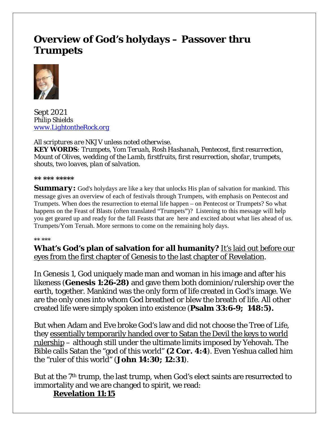# **Overview of God's holydays – Passover thru Trumpets**



Sept 2021 *Philip Shields [www.LightontheRock.org](http://www.lightontherock.org/)*

*All scriptures are NKJV unless noted otherwise. KEY WORDS: Trumpets, Yom Teruah, Rosh Hashanah, Pentecost, first resurrection, Mount of Olives, wedding of the Lamb, firstfruits, first resurrection, shofar, trumpets, shouts, two loaves, plan of salvation.* 

*\*\* \*\*\* \*\*\*\*\** 

**Summary:** God's holydays are like a key that unlocks His plan of salvation for mankind. This message gives an overview of each of festivals through Trumpets, with emphasis on Pentecost and Trumpets. When does the resurrection to eternal life happen – on Pentecost or Trumpets? So what happens on the Feast of Blasts (often translated "Trumpets")? Listening to this message will help you get geared up and ready for the fall Feasts that are here and excited about what lies ahead of us. Trumpets/Yom Teruah. More sermons to come on the remaining holy days.

#### *\*\* \*\*\**

**What's God's plan of salvation for all humanity?** It's laid out before our eyes from the first chapter of Genesis to the last chapter of Revelation.

In Genesis 1, God uniquely made man and woman in his image and after his likeness (**Genesis 1:26-28)** and gave them both dominion/rulership over the earth, together. Mankind was the only form of life created in God's image. We are the only ones into whom God breathed or blew the breath of life. All other created life were simply spoken into existence (**Psalm 33:6-9; 148:5).** 

But when Adam and Eve broke God's law and did not choose the Tree of Life, they essentially temporarily handed over to Satan the Devil the keys to world rulership – although still under the ultimate limits imposed by Yehovah. The Bible calls Satan the "god of this world" **(2 Cor. 4:4**). Even Yeshua called him the "ruler of this world" (**John 14:30; 12:31**).

But at the 7<sup>th</sup> trump, the last trump, when God's elect saints are resurrected to immortality and we are changed to spirit, we read:

### **Revelation 11:15**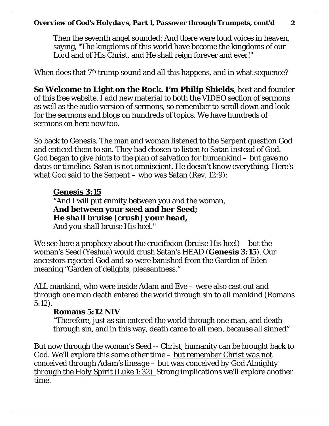Then the seventh angel sounded: And there were loud voices in heaven, saying, "The kingdoms of this world have become the kingdoms of our Lord and of His Christ, and He shall reign forever and ever!"

When does that 7<sup>th</sup> trump sound and all this happens, and in what sequence?

**So Welcome to Light on the Rock. I'm Philip Shields**, host and founder of this free website. I add new material to both the VIDEO section of sermons as well as the audio version of sermons, so remember to scroll down and look for the sermons and blogs on hundreds of topics. We have hundreds of sermons on here now too.

So back to Genesis. The man and woman listened to the Serpent question God and enticed them to sin. They had chosen to listen to Satan instead of God. God began to give hints to the plan of salvation for humankind – but gave no dates or timeline. Satan is not omniscient. He doesn't know everything. Here's what God said to the Serpent – who was Satan (Rev. 12:9):

### **Genesis 3:15**

"And I will put enmity between you and the woman, **And between your seed and her Seed;** *He shall bruise [crush] your head,*

*And you shall bruise His heel*."

We see here a prophecy about the crucifixion (bruise His heel) – but the woman's Seed (Yeshua) would crush Satan's HEAD (**Genesis 3:15**). Our ancestors rejected God and so were banished from the Garden of Eden – meaning "Garden of delights, pleasantness."

ALL mankind, who were inside Adam and Eve – were also cast out and through one man death entered the world through sin to all mankind (Romans 5:12).

### **Romans 5:12 NIV**

"Therefore, just as sin entered the world through one man, and death through sin, and in this way, death came to all men, because all sinned"

But now through the woman's Seed -- Christ, humanity can be brought back to God. We'll explore this some other time – *but remember Christ was not conceived through Adam's lineage – but was conceived by God Almighty through the Holy Spirit (Luke 1:32)* Strong implications we'll explore another time.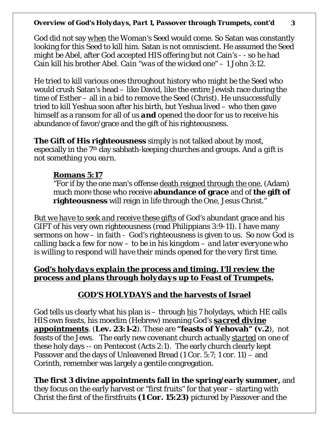God did not say *when* the Woman's Seed would come. So Satan was constantly looking for this Seed to kill him. Satan is not omniscient. He assumed the Seed might be Abel, after God accepted HIS offering but not Cain's - - so he had Cain kill his brother Abel. *Cain "was of the wicked one"* – 1 John 3:12.

He tried to kill various ones throughout history who might be the Seed who would crush Satan's head – like David, like the entire Jewish race during the time of Esther – all in a bid to remove the Seed (Christ). He unsuccessfully tried to kill Yeshua soon after his birth, but Yeshua lived – who then gave himself as a ransom for all of us *and* opened the door for us to receive his abundance of favor/grace and the gift of his righteousness.

**The Gift of His righteousness** simply is not talked about by most, especially in the 7th day sabbath-keeping churches and groups. *And a gift is not something you earn.*

### **Romans 5:17**

"For if by the one man's offense death reigned through the one, (Adam) much more those who receive **abundance of grace** and of **the gift of righteousness** will reign in life through the One, Jesus Christ."

B*ut we have to seek and receive these gifts* of God's abundant grace and his GIFT of his very own righteousness (read Philippians 3:9-11). I have many sermons on how – in faith - God's righteousness is given to us*. So now God is calling back a few for now – to be in his kingdom – and later everyone who is willing to respond will have their minds opened for the very first time.*

### *God's holydays explain the process and timing. I'll review the process and plans through holydays up to Feast of Trumpets.*

## **GOD'S HOLYDAYS and the harvests of Israel**

God tells us clearly what his plan is – through *his* 7 holydays, which HE calls HIS own feasts, his moedim (Hebrew) meaning God's *sacred divine appointments*. (**Lev. 23:1-2**). These are **"feasts of Yehovah" (v.2**), not feasts of the Jews. The early new covenant church actually *started* on one of these holy days -- on Pentecost (Acts 2:1). The early church clearly kept Passover and the days of Unleavened Bread (1 Cor. 5:7; 1 cor. 11) – and Corinth, remember was largely a gentile congregation.

**The first 3 divine appointments fall in the spring/early summer,** and they focus on the early harvest or "first fruits" for that year – starting with Christ the first of the firstfruits **(1 Cor. 15:23)** pictured by Passover and the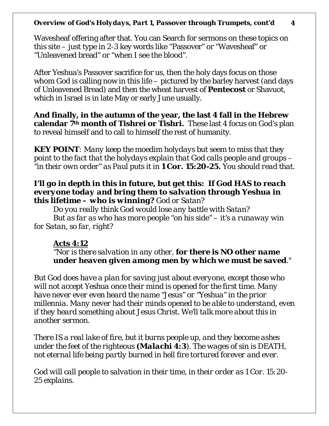Wavesheaf offering after that. You can Search for sermons on these topics on this site – just type in 2-3 key words like "Passover" or "Wavesheaf" or "Unleavened bread" or "when I see the blood".

After Yeshua's Passover sacrifice for us, then the holy days focus on those whom God is calling now in this life – pictured by the barley harvest (and days of Unleavened Bread) and then the wheat harvest of **Pentecost** or Shavuot, which in Israel is in late May or early June usually.

**And finally, in the autumn of the year, the last 4 fall in the Hebrew calendar 7th month of Tishrei or Tishri.** These last 4 focus on God's plan to reveal himself and to call to himself the rest of humanity.

*KEY POINT: Many keep the moedim holydays but seem to miss that they point to the fact that the holydays explain that God calls people and groups – "in their own order" as Paul puts it in 1 Cor. 15:20-25. You should read that.* 

#### *I'll go in depth in this in future, but get this: If God HAS to reach everyone today and bring them to salvation through Yeshua in this lifetime – who is winning? God or Satan?*

*Do you really think God would lose any battle with Satan? But as far as who has more people "on his side" – it's a runaway win for Satan, so far, right?* 

### *Acts 4:12*

*"Nor is there salvation in any other, for there is NO other name under heaven given among men by which we must be saved."* 

*But God does have a plan for saving just about everyone, except those who will not accept Yeshua once their mind is opened for the first time. Many have never ever even heard the name "Jesus" or "Yeshua" in the prior millennia. Many never had their minds opened to be able to understand, even if they heard something about Jesus Christ. We'll talk more about this in another sermon.* 

*There IS a real lake of fire, but it burns people up, and they become ashes under the feet of the righteous (Malachi 4:3). The wages of sin is DEATH, not eternal life being partly burned in hell fire tortured forever and ever.* 

*God will call people to salvation in their time, in their order as 1 Cor. 15:20- 25 explains.*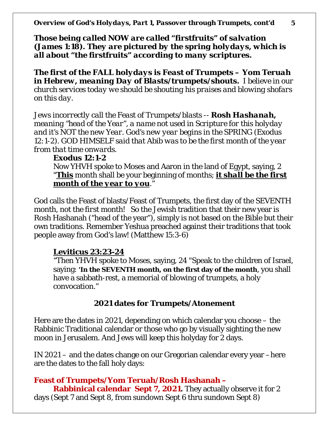*Those being called NOW are called "firstfruits" of salvation (James 1:18). They are pictured by the spring holydays, which is all about "the firstfruits" according to many scriptures.* 

*The first of the FALL holydays is Feast of Trumpets – Yom Teruah in Hebrew, meaning Day of Blasts/trumpets/shouts. I believe in our church services today we should be shouting his praises and blowing shofars on this day.* 

*Jews incorrectly call the Feast of Trumpets/blasts -- Rosh Hashanah, meaning "head of the Year", a name not used in Scripture for this holyday and it's NOT the new Year. God's new year begins in the SPRING (Exodus 12:1-2). GOD HIMSELF said that Abib was to be the first month of the year from that time onwards.* 

#### **Exodus 12:1-2**

Now YHVH spoke to Moses and Aaron in the land of Egypt, saying, 2 "**This** month shall be your beginning of months; *it shall be the first month of the year to you*."

God calls the Feast of blasts/Feast of Trumpets, the first day of the SEVENTH month, *not the first month!* So the Jewish tradition that their new year is Rosh Hashanah ("head of the year"), simply is not based on the Bible but their own traditions. Remember Yeshua preached against their traditions that took people away from God's law! (Matthew 15:3-6)

### **Leviticus 23:23-24**

"Then YHVH spoke to Moses, saying, 24 "Speak to the children of Israel, saying: **'In the SEVENTH month, on the first day of the month**, you shall have a sabbath-rest, a memorial of blowing of trumpets, a holy convocation."

### **2021 dates for Trumpets/Atonement**

Here are the dates in 2021, depending on which calendar you choose – the Rabbinic Traditional calendar or those who go by visually sighting the new moon in Jerusalem. And Jews will keep this holyday for 2 days.

IN 2021 – and the dates change on our Gregorian calendar every year –here are the dates to the fall holy days:

### **Feast of Trumpets/Yom Teruah/Rosh Hashanah –**

**Rabbinical calendar Sept 7, 2021.** They actually observe it for 2 days (Sept 7 and Sept 8, from sundown Sept 6 thru sundown Sept 8)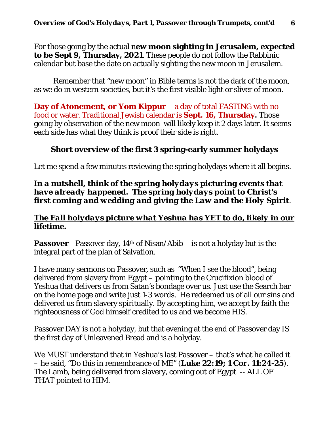For those going by the actual n**ew moon sighting in Jerusalem, expected to be Sept 9, Thursday, 2021**. These people do not follow the Rabbinic calendar but base the date on actually sighting the new moon in Jerusalem.

Remember that "new moon" in Bible terms is not the dark of the moon, as we do in western societies, but it's the first visible light or sliver of moon.

**Day of Atonement, or Yom Kippur** – a day of total FASTING with no food or water. Traditional Jewish calendar is **Sept. 16, Thursday.** Those going by observation of the new moon will likely keep it 2 days later. It seems each side has what they think is proof their side is right.

### **Short overview of the first 3 spring-early summer holydays**

Let me spend a few minutes reviewing the spring holydays where it all begins.

### *In a nutshell, think of the spring holydays picturing events that have already happened. The spring holydays point to Christ's first coming and wedding and giving the Law and the Holy Spirit.*

### *The Fall holydays picture what Yeshua has YET to do, likely in our lifetime.*

**Passover** –Passover day, 14th of Nisan/Abib – is not a holyday but is *the* integral part of the plan of Salvation.

I have many sermons on Passover, such as "When I see the blood", being delivered from slavery from Egypt – pointing to the Crucifixion blood of Yeshua that delivers us from Satan's bondage over us. Just use the Search bar on the home page and write just 1-3 words. He redeemed us of all our sins and delivered us from slavery spiritually. By accepting him, we accept by faith the righteousness of God himself credited to us and we become HIS.

Passover DAY is not a holyday, but that evening at the end of Passover day IS the first day of Unleavened Bread and is a holyday.

We MUST understand that in Yeshua's last Passover – that's what he called it – he said, "Do this in remembrance of ME" (**Luke 22:19; 1 Cor. 11:24-25**). The Lamb, being delivered from slavery, coming out of Egypt -- ALL OF THAT pointed to HIM.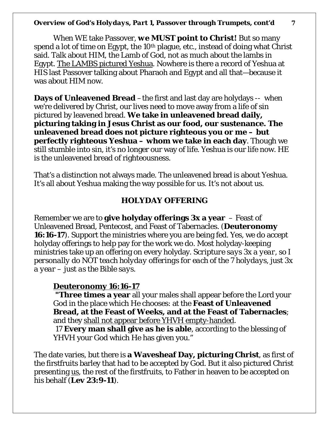When WE take Passover, *we MUST point to Christ!* But so many spend a lot of time on Egypt, the 10<sup>th</sup> plague, etc., instead of doing what Christ said. Talk about HIM, the Lamb of God, not as much about the lambs in Egypt. The LAMBS pictured Yeshua. Nowhere is there a record of Yeshua at HIS last Passover talking about Pharaoh and Egypt and all that—because it was about HIM now.

**Days of Unleavened Bread** –the first and last day are holydays -- when we're delivered by Christ, our lives need to move away from a life of sin pictured by leavened bread. **We take in unleavened bread daily, picturing taking in Jesus Christ as our food, our sustenance. The unleavened bread does not picture righteous you or me – but perfectly righteous Yeshua – whom we take in each day**. Though we still stumble into sin, it's no longer our way of life. Yeshua is our life now. HE is the unleavened bread of righteousness.

That's a distinction not always made. The unleavened bread is about Yeshua. It's all about Yeshua making the way possible for us. It's not about us.

#### **HOLYDAY OFFERING**

Remember we are to **give holyday offerings 3x a year** – Feast of Unleavened Bread, Pentecost, and Feast of Tabernacles. (**Deuteronomy 16:16-17**). Support the ministries where you are being fed. Yes, we do accept holyday offerings to help pay for the work we do. Most holyday-keeping ministries take up an offering on every holyday. *Scripture says 3x a year, so I personally do NOT teach holyday offerings for each of the 7 holydays, just 3x a year – just as the Bible says.* 

#### **Deuteronomy 16:16-17**

**"Three times a year** all your males shall appear before the Lord your God in the place which He chooses: at the **Feast of Unleavened Bread, at the Feast of Weeks, and at the Feast of Tabernacles**; and they shall not appear before YHVH empty-handed.

17 **Every man shall give as he is able**, according to the blessing of YHVH your God which He has given you."

The date varies, but there is **a Wavesheaf Day, picturing Christ**, as first of the firstfruits barley that had to be accepted by God. But it also pictured Christ presenting *us*, the rest of the firstfruits, to Father in heaven to be accepted on his behalf (**Lev 23:9-11**).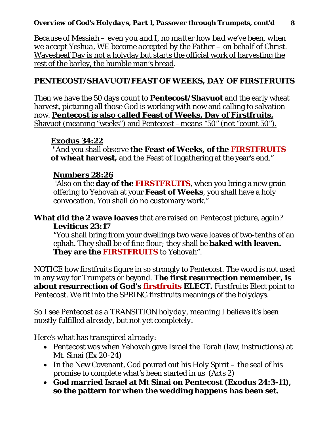*Because of Messiah – even you and I, no matter how bad we've been, when we accept Yeshua, WE become accepted by the Father – on behalf of Christ.* Wavesheaf Day is not a holyday but starts the official work of harvesting the rest of the barley, the humble man's bread.

### **PENTECOST/SHAVUOT/FEAST OF WEEKS, DAY OF FIRSTFRUITS**

Then we have the 50 days count to **Pentecost/Shavuot** and the early wheat harvest, picturing all those God is working with now and calling to salvation now. **Pentecost is also called Feast of Weeks, Day of Firstfruits,** Shavuot (meaning "weeks") and Pentecost –means "50" (not "count 50").

### **Exodus 34:22**

"And you shall observe **the Feast of Weeks, of the FIRSTFRUITS of wheat harvest,** and the Feast of Ingathering at the year's end."

### **Numbers 28:26**

'Also on the **day of the FIRSTFRUITS**, when you bring a new grain offering to Yehovah at your **Feast of Weeks**, you shall have a holy convocation. You shall do no customary work."

**What did the 2 wave loaves** that are raised on Pentecost picture, again? **Leviticus 23:17**

"You shall bring from your dwellings two wave loaves of two-tenths of an ephah. They shall be of fine flour; they shall be **baked with leaven. They are the FIRSTFRUITS** to Yehovah".

NOTICE how firstfruits figure in so strongly to Pentecost. The word is not used in any way for Trumpets or beyond. *The first resurrection remember, is about resurrection of God's firstfruits ELECT.* Firstfruits Elect point to Pentecost. We fit into the SPRING firstfruits meanings of the holydays.

*So I see Pentecost as a TRANSITION holyday, meaning I believe it's been mostly fulfilled already, but not yet completely.* 

*Here's what has transpired already:*

- Pentecost was when Yehovah gave Israel the Torah (law, instructions) at Mt. Sinai (Ex 20-24)
- In the New Covenant, God poured out his Holy Spirit the seal of his promise to complete what's been started in us (Acts 2)
- **God married Israel at Mt Sinai on Pentecost (Exodus 24:3-11), so the pattern for when the wedding happens has been set.**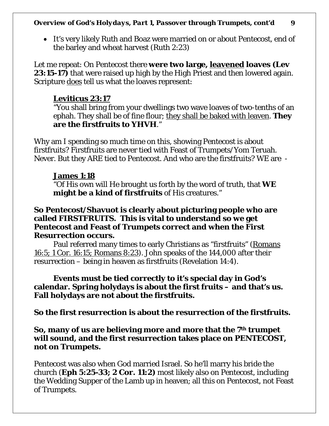• It's very likely Ruth and Boaz were married on or about Pentecost, end of the barley and wheat harvest (Ruth 2:23)

Let me repeat: On Pentecost there **were two large, leavened loaves (Lev 23:15-17)** that were raised up high by the High Priest and then lowered again. Scripture *does* tell us what the loaves represent:

### **Leviticus 23:17**

"You shall bring from your dwellings two wave loaves of two-tenths of an ephah. They shall be of fine flour; they shall be baked with leaven. **They are the firstfruits to YHVH**."

Why am I spending so much time on this, showing Pentecost is about firstfruits? Firstfruits are never tied with Feast of Trumpets/Yom Teruah. Never. But they ARE tied to Pentecost. And who are the firstfruits? WE are -

### **James 1:18**

"Of His own will He brought us forth by the word of truth, that **WE might be a kind of firstfruits** of His creatures."

### **So Pentecost/Shavuot is clearly about picturing people who are called FIRSTFRUITS. This is vital to understand so we get Pentecost and Feast of Trumpets correct and when the First Resurrection occurs.**

Paul referred many times to early Christians as "firstfruits" (Romans 16:5; 1 Cor. 16:15; Romans 8:23). John speaks of the 144,000 after their resurrection – being in heaven as firstfruits (Revelation 14:4).

### **Events must be tied correctly to it's special day in God's calendar. Spring holydays is about the first fruits – and that's us. Fall holydays are not about the firstfruits.**

**So the first resurrection is about the resurrection of the firstfruits.** 

**So, many of us are believing more and more that the 7th trumpet will sound, and the first resurrection takes place on PENTECOST, not on Trumpets.** 

Pentecost was also when God married Israel. So he'll marry his bride the church (**Eph 5:25-33; 2 Cor. 11:2)** most likely also on Pentecost, including the Wedding Supper of the Lamb up in heaven; all this on Pentecost, not Feast of Trumpets.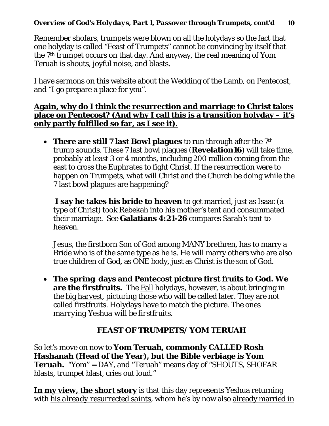Remember shofars, trumpets were blown on all the holydays so the fact that one holyday is called "Feast of Trumpets" cannot be convincing by itself that the 7th trumpet occurs on that day. And anyway, the real meaning of Yom Teruah is shouts, joyful noise, and blasts.

I have sermons on this website about the Wedding of the Lamb, on Pentecost, and "I go prepare a place for you".

**Again, why do I think the resurrection and marriage to Christ takes place on Pentecost? (And why I call this is a transition holyday – it's only partly fulfilled so far, as I see it).**

• **There are still 7 last Bowl plagues** to run through after the 7<sup>th</sup> trump sounds. These 7 last bowl plagues (**Revelation16**) will take time, probably at least 3 or 4 months, including 200 million coming from the east to cross the Euphrates to fight Christ. If the resurrection were to happen on Trumpets, what will Christ and the Church be doing while the 7 last bowl plagues are happening?

**I say he takes his bride to heaven** to get married, just as Isaac (a type of Christ) took Rebekah into his mother's tent and consummated their marriage. See **Galatians 4:21-26** compares Sarah's tent to heaven.

Jesus, the firstborn Son of God among MANY brethren, has to marry a Bride who is of the same type as he is. He will marry others who are also true children of God, as ONE body, just as Christ is the son of God.

• **The spring days and Pentecost picture first fruits to God. We are the firstfruits.** The Fall holydays, however, is about bringing in the big harvest, picturing those who will be called later. They are not called firstfruits. Holydays have to match the picture. *The ones marrying Yeshua will be firstfruits.* 

### **FEAST OF TRUMPETS/ YOM TERUAH**

So let's move on now to **Yom Teruah, commonly CALLED Rosh Hashanah (Head of the Year), but the Bible verbiage is Yom Teruah.** "Yom" = DAY, and "Teruah" means day of "SHOUTS, SHOFAR blasts, trumpet blast, cries out loud."

**In my view, the short story** is that this day represents Yeshua returning with *his already resurrected saints*, whom he's by now also already married in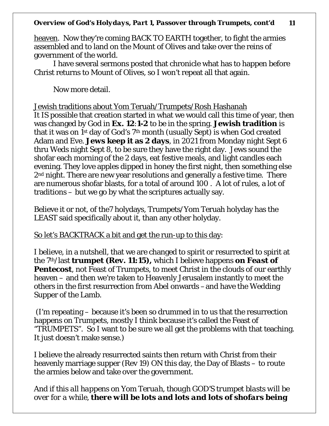heaven. Now they're coming BACK TO EARTH together, to fight the armies assembled and to land on the Mount of Olives and take over the reins of government of the world.

I have several sermons posted that chronicle what has to happen before Christ returns to Mount of Olives, so I won't repeat all that again.

Now more detail.

Jewish traditions about Yom Teruah/Trumpets/Rosh Hashanah It IS possible that creation started in what we would call this time of year, then was changed by God in **Ex. 12**:**1-2** to be in the spring. **Jewish tradition** is that it was on 1st day of God's 7th month (usually Sept) is when God created Adam and Eve. **Jews keep it as 2 days**, in 2021 from Monday night Sept 6 thru Weds night Sept 8, to be sure they have the right day. Jews sound the shofar each morning of the 2 days, eat festive meals, and light candles each evening. They love apples dipped in honey the first night, then something else 2<sup>nd</sup> night. There are new year resolutions and generally a festive time. There are numerous shofar blasts, for a total of around 100 . A lot of rules, a lot of traditions – but we go by what the scriptures actually say.

Believe it or not, of the7 holydays, Trumpets/Yom Teruah holyday has the LEAST said specifically about it, than any other holyday.

### So let's BACKTRACK a bit and get the run-up to this day:

I believe, in a nutshell, that we are changed to spirit or resurrected to spirit at the 7th/last **trumpet (Rev. 11:15),** which I believe happens *on Feast of*  **Pentecost**, not Feast of Trumpets, to meet Christ in the clouds of our earthly heaven – and then we're taken to Heavenly Jerusalem instantly to meet the others in the first resurrection from Abel onwards –and have the Wedding Supper of the Lamb.

(I'm repeating – because it's been so drummed in to us that the resurrection happens on Trumpets, mostly I think because it's called the Feast of "TRUMPETS". So I want to be sure we all get the problems with that teaching. It just doesn't make sense.)

I believe the already resurrected saints then return with Christ from their heavenly marriage supper (Rev 19) ON this day, the Day of Blasts – to route the armies below and take over the government.

*And if this all happens on Yom Teruah, though GOD'S trumpet blasts will be over for a while, there will be lots and lots and lots of shofars being*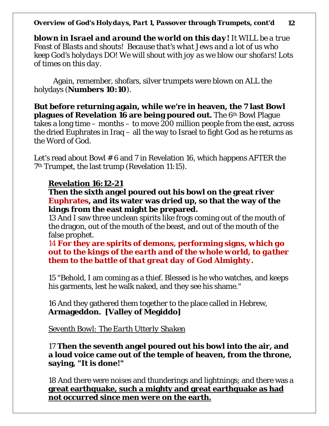*blown in Israel and around the world on this day! It WILL be a true Feast of Blasts and shouts! Because that's what Jews and a lot of us who keep God's holydays DO! We will shout with joy as we blow our shofars! Lots of times on this day.* 

Again, remember, shofars, silver trumpets were blown on ALL the holydays (**Numbers 10:10**).

**But before returning again, while we're in heaven, the 7 last Bowl plagues of Revelation 16 are being poured out.** The 6th Bowl Plague takes a long time – months – to move 200 million people from the east, across the dried Euphrates in Iraq – all the way to Israel to fight God as he returns as the Word of God.

Let's read about Bowl # 6 and 7 in Revelation 16, which happens AFTER the 7th Trumpet, the last trump (Revelation 11:15).

### **Revelation 16:12-21**

#### **Then the sixth angel poured out his bowl on the great river Euphrates, and its water was dried up, so that the way of the kings from the east might be prepared.**

13 And I saw three unclean spirits like frogs coming out of the mouth of the dragon, out of the mouth of the beast, and out of the mouth of the false prophet.

14 **For they are spirits of demons, performing signs***, which go out to the kings of the earth and of the whole world, to gather them to the battle of that great day of God Almighty.* 

15 "Behold, I am coming as a thief. Blessed is he who watches, and keeps his garments, lest he walk naked, and they see his shame."

16 And they gathered them together to the place called in Hebrew, **Armageddon. [Valley of Megiddo]**

*Seventh Bowl: The Earth Utterly Shaken*

17 **Then the seventh angel poured out his bowl into the air, and a loud voice came out of the temple of heaven, from the throne, saying, "It is done!"**

18 And there were noises and thunderings and lightnings; and there was a **great earthquake, such a mighty and great earthquake as had not occurred since men were on the earth.**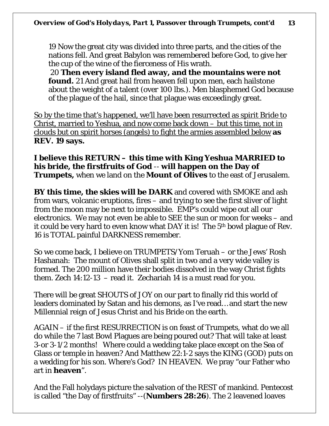19 Now the great city was divided into three parts, and the cities of the nations fell. And great Babylon was remembered before God, to give her the cup of the wine of the fierceness of His wrath.

20 **Then every island fled away, and the mountains were not found.** 21 And great hail from heaven fell upon men, each hailstone about the weight of a talent (over 100 lbs.). Men blasphemed God because of the plague of the hail, since that plague was exceedingly great.

So by the time that's happened, we'll have been resurrected as spirit Bride to Christ, married to Yeshua, and now come back down – but this time, not in clouds but on spirit horses (angels) to fight the armies assembled below **as REV. 19 says.** 

**I believe this RETURN – this time with King Yeshua MARRIED to his bride, the firstfruits of God** -- **will happen on the Day of Trumpets,** when we land on the **Mount of Olives** to the east of Jerusalem.

**BY this time, the skies will be DARK** and covered with SMOKE and ash from wars, volcanic eruptions, fires – and trying to see the first sliver of light from the moon may be next to impossible. EMP's could wipe out all our electronics. We may not even be able to SEE the sun or moon for weeks – and it could be very hard to even know what DAY it is! The 5th bowl plague of Rev. 16 is TOTAL painful DARKNESS remember.

So we come back, I believe on TRUMPETS/Yom Teruah – or the Jews' Rosh Hashanah: The mount of Olives shall split in two and a very wide valley is formed. The 200 million have their bodies dissolved in the way Christ fights them. Zech 14:12-13 – read it. Zechariah 14 is a must read for you.

There will be great SHOUTS of JOY on our part to finally rid this world of leaders dominated by Satan and his demons, as I've read… and start the new Millennial reign of Jesus Christ and his Bride on the earth.

AGAIN – if the first RESURRECTION is on feast of Trumpets, what do we all do while the 7 last Bowl Plagues are being poured out? That will take at least 3-or 3-1/2 months! Where could a wedding take place except on the Sea of Glass or temple in heaven? And Matthew 22:1-2 says the KING (GOD) puts on a wedding for his son. Where's God? IN HEAVEN. We pray "our Father who art in **heaven**".

And the Fall holydays picture the salvation of the REST of mankind. Pentecost is called "the Day of firstfruits" --(**Numbers 28:26**). The 2 leavened loaves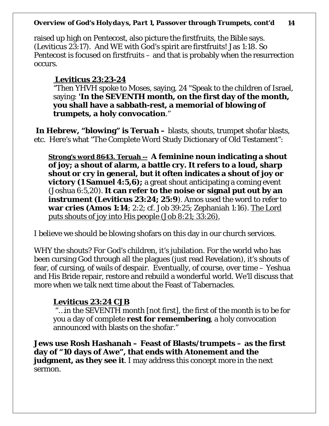raised up high on Pentecost, also picture the firstfruits, the Bible says. (Leviticus 23:17). And WE with God's spirit are firstfruits! Jas 1:18. So Pentecost is focused on firstfruits – and that is probably when the resurrection occurs.

### **Leviticus 23:23-24**

"Then YHVH spoke to Moses, saying, 24 "Speak to the children of Israel, saying: **'In the SEVENTH month, on the first day of the month, you shall have a sabbath-rest, a memorial of blowing of trumpets, a holy convocation**."

**In Hebrew, "blowing" is** *Teruah* **–** blasts, shouts, trumpet shofar blasts, etc. Here's what "The Complete Word Study Dictionary of Old Testament":

**Strong's word 8643. Teruah -- A feminine noun indicating a shout of joy; a shout of alarm, a battle cry. It refers to a loud, sharp shout or cry in general, but it often indicates a shout of joy or victory (1 Samuel 4:5,6);** a great shout anticipating a coming event (Joshua 6:5,20). **It can refer to the noise or signal put out by an instrument (Leviticus 23:24; 25:9**). Amos used the word to refer to **war cries (Amos 1:14**; 2:2; cf. Job 39:25; Zephaniah 1:16). The Lord puts shouts of joy into His people (Job 8:21; 33:26).

I believe we should be blowing shofars on this day in our church services.

WHY the shouts? For God's children, it's jubilation. For the world who has been cursing God through all the plagues (just read Revelation), it's shouts of fear, of cursing, of wails of despair. Eventually, of course, over time – Yeshua and His Bride repair, restore and rebuild a wonderful world. We'll discuss that more when we talk next time about the Feast of Tabernacles.

## **Leviticus 23:24 CJB**

"…in the SEVENTH month [not first], the first of the month is to be for you a day of complete **rest for remembering**, a holy convocation announced with blasts on the shofar."

**Jews use Rosh Hashanah – Feast of Blasts/trumpets – as the first day of "10 days of Awe", that ends with Atonement and the judgment, as they see it**. I may address this concept more in the next sermon.